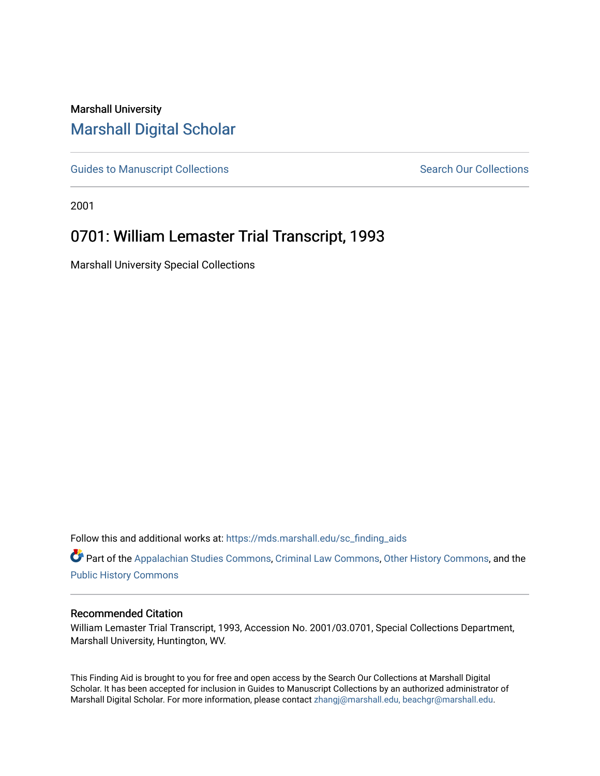## Marshall University [Marshall Digital Scholar](https://mds.marshall.edu/)

[Guides to Manuscript Collections](https://mds.marshall.edu/sc_finding_aids) **Search Our Collections** Search Our Collections

2001

# 0701: William Lemaster Trial Transcript, 1993

Marshall University Special Collections

Follow this and additional works at: [https://mds.marshall.edu/sc\\_finding\\_aids](https://mds.marshall.edu/sc_finding_aids?utm_source=mds.marshall.edu%2Fsc_finding_aids%2F606&utm_medium=PDF&utm_campaign=PDFCoverPages) 

Part of the [Appalachian Studies Commons,](http://network.bepress.com/hgg/discipline/1253?utm_source=mds.marshall.edu%2Fsc_finding_aids%2F606&utm_medium=PDF&utm_campaign=PDFCoverPages) [Criminal Law Commons](http://network.bepress.com/hgg/discipline/912?utm_source=mds.marshall.edu%2Fsc_finding_aids%2F606&utm_medium=PDF&utm_campaign=PDFCoverPages), [Other History Commons](http://network.bepress.com/hgg/discipline/508?utm_source=mds.marshall.edu%2Fsc_finding_aids%2F606&utm_medium=PDF&utm_campaign=PDFCoverPages), and the [Public History Commons](http://network.bepress.com/hgg/discipline/1292?utm_source=mds.marshall.edu%2Fsc_finding_aids%2F606&utm_medium=PDF&utm_campaign=PDFCoverPages)

#### Recommended Citation

William Lemaster Trial Transcript, 1993, Accession No. 2001/03.0701, Special Collections Department, Marshall University, Huntington, WV.

This Finding Aid is brought to you for free and open access by the Search Our Collections at Marshall Digital Scholar. It has been accepted for inclusion in Guides to Manuscript Collections by an authorized administrator of Marshall Digital Scholar. For more information, please contact [zhangj@marshall.edu, beachgr@marshall.edu](mailto:zhangj@marshall.edu,%20beachgr@marshall.edu).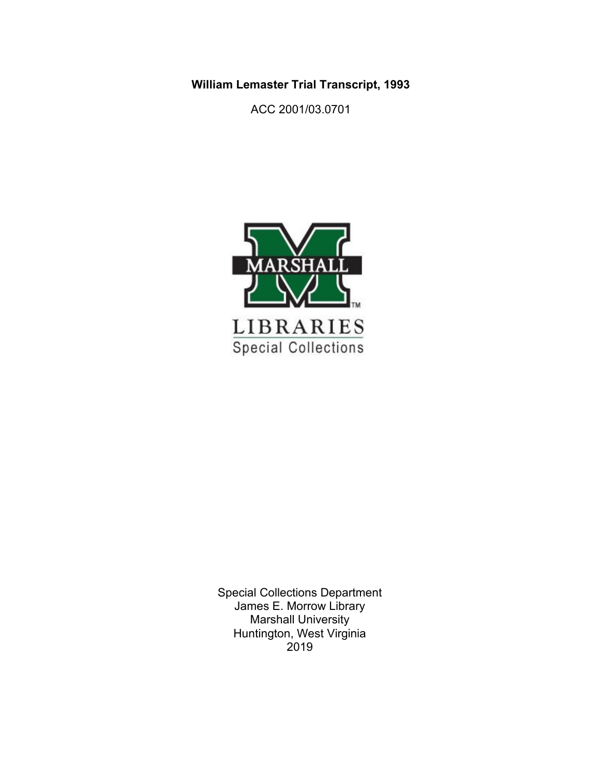**William Lemaster Trial Transcript, 1993**

ACC 2001/03.0701



Special Collections Department James E. Morrow Library Marshall University Huntington, West Virginia 2019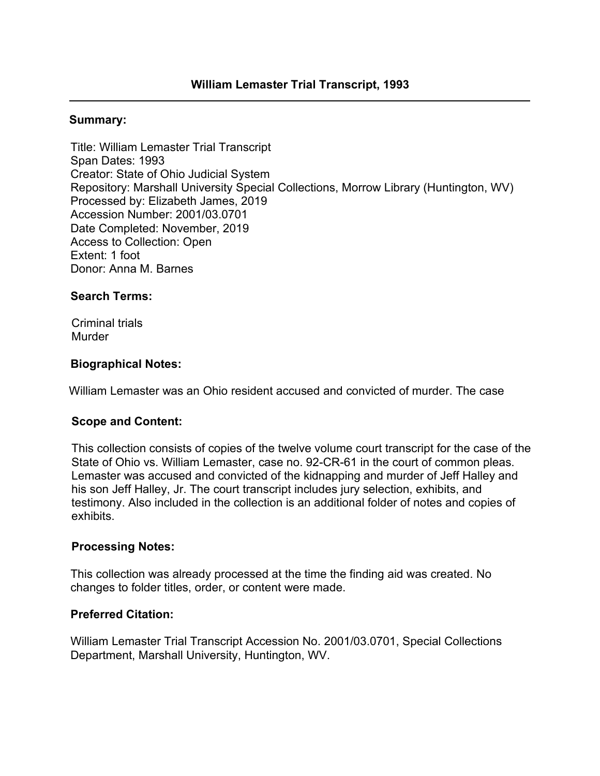#### **Summary:**

Title: William Lemaster Trial Transcript Span Dates: 1993 Creator: State of Ohio Judicial System Repository: Marshall University Special Collections, Morrow Library (Huntington, WV) Processed by: Elizabeth James, 2019 Accession Number: 2001/03.0701 Date Completed: November, 2019 Access to Collection: Open Extent: 1 foot Donor: Anna M. Barnes

### **Search Terms:**

Criminal trials Murder

### **Biographical Notes:**

William Lemaster was an Ohio resident accused and convicted of murder. The case

### **Scope and Content:**

This collection consists of copies of the twelve volume court transcript for the case of the State of Ohio vs. William Lemaster, case no. 92-CR-61 in the court of common pleas. Lemaster was accused and convicted of the kidnapping and murder of Jeff Halley and his son Jeff Halley, Jr. The court transcript includes jury selection, exhibits, and testimony. Also included in the collection is an additional folder of notes and copies of exhibits.

### **Processing Notes:**

This collection was already processed at the time the finding aid was created. No changes to folder titles, order, or content were made.

### **Preferred Citation:**

William Lemaster Trial Transcript Accession No. 2001/03.0701, Special Collections Department, Marshall University, Huntington, WV.